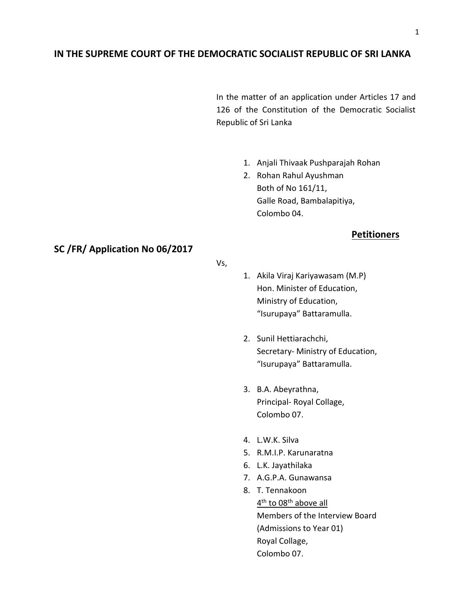### **IN THE SUPREME COURT OF THE DEMOCRATIC SOCIALIST REPUBLIC OF SRI LANKA**

In the matter of an application under Articles 17 and 126 of the Constitution of the Democratic Socialist Republic of Sri Lanka

- 1. Anjali Thivaak Pushparajah Rohan
- 2. Rohan Rahul Ayushman Both of No 161/11, Galle Road, Bambalapitiya, Colombo 04.

### **Petitioners**

# **SC /FR/ Application No 06/2017**

Vs,

- 1. Akila Viraj Kariyawasam (M.P) Hon. Minister of Education, Ministry of Education, "Isurupaya" Battaramulla.
- 2. Sunil Hettiarachchi, Secretary- Ministry of Education, "Isurupaya" Battaramulla.
- 3. B.A. Abeyrathna, Principal- Royal Collage, Colombo 07.
- 4. L.W.K. Silva
- 5. R.M.I.P. Karunaratna
- 6. L.K. Jayathilaka
- 7. A.G.P.A. Gunawansa
- 8. T. Tennakoon 4<sup>th</sup> to 08<sup>th</sup> above all Members of the Interview Board (Admissions to Year 01) Royal Collage, Colombo 07.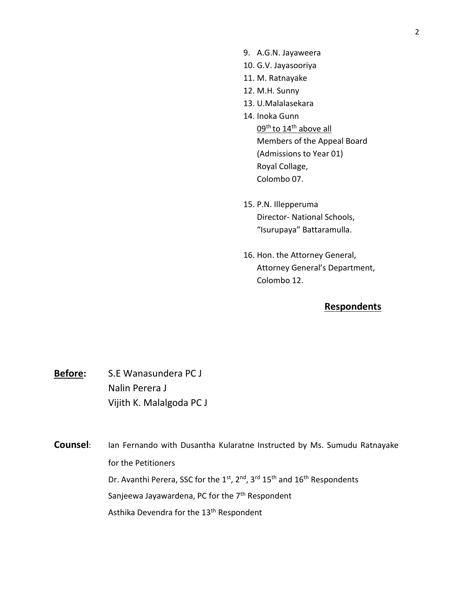- 9. A.G.N. Jayaweera
- 10. G.V. Jayasooriya
- 11. M. Ratnayake
- 12. M.H. Sunny
- 13. U.Malalasekara
- 14. Inoka Gunn 09<sup>th</sup> to 14<sup>th</sup> above all Members of the Appeal Board (Admissions to Year 01) Royal Collage, Colombo 07.
- 15. P.N. Illepperuma Director- National Schools, "Isurupaya" Battaramulla.
- 16. Hon. the Attorney General, Attorney General's Department, Colombo 12.

## **Respondents**

**Before:** S.E Wanasundera PC J Nalin Perera J Vijith K. Malalgoda PC J

**Counsel**: Ian Fernando with Dusantha Kularatne Instructed by Ms. Sumudu Ratnayake for the Petitioners Dr. Avanthi Perera, SSC for the 1st, 2<sup>nd</sup>, 3<sup>rd</sup> 15<sup>th</sup> and 16<sup>th</sup> Respondents Sanjeewa Jayawardena, PC for the 7<sup>th</sup> Respondent Asthika Devendra for the 13<sup>th</sup> Respondent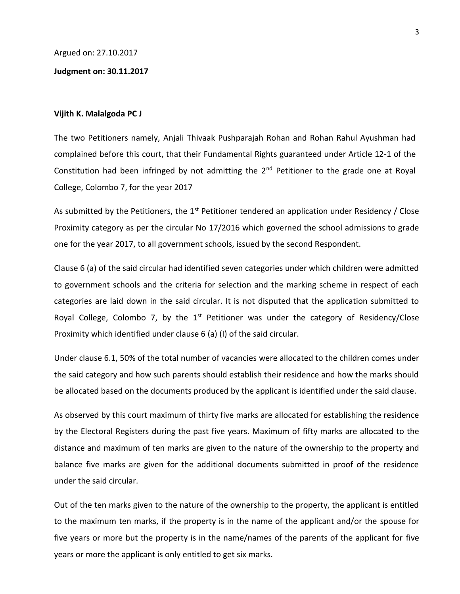Argued on: 27.10.2017

#### **Judgment on: 30.11.2017**

#### **Vijith K. Malalgoda PC J**

The two Petitioners namely, Anjali Thivaak Pushparajah Rohan and Rohan Rahul Ayushman had complained before this court, that their Fundamental Rights guaranteed under Article 12-1 of the Constitution had been infringed by not admitting the  $2<sup>nd</sup>$  Petitioner to the grade one at Royal College, Colombo 7, for the year 2017

As submitted by the Petitioners, the  $1<sup>st</sup>$  Petitioner tendered an application under Residency / Close Proximity category as per the circular No 17/2016 which governed the school admissions to grade one for the year 2017, to all government schools, issued by the second Respondent.

Clause 6 (a) of the said circular had identified seven categories under which children were admitted to government schools and the criteria for selection and the marking scheme in respect of each categories are laid down in the said circular. It is not disputed that the application submitted to Royal College, Colombo 7, by the  $1<sup>st</sup>$  Petitioner was under the category of Residency/Close Proximity which identified under clause 6 (a) (I) of the said circular.

Under clause 6.1, 50% of the total number of vacancies were allocated to the children comes under the said category and how such parents should establish their residence and how the marks should be allocated based on the documents produced by the applicant is identified under the said clause.

As observed by this court maximum of thirty five marks are allocated for establishing the residence by the Electoral Registers during the past five years. Maximum of fifty marks are allocated to the distance and maximum of ten marks are given to the nature of the ownership to the property and balance five marks are given for the additional documents submitted in proof of the residence under the said circular.

Out of the ten marks given to the nature of the ownership to the property, the applicant is entitled to the maximum ten marks, if the property is in the name of the applicant and/or the spouse for five years or more but the property is in the name/names of the parents of the applicant for five years or more the applicant is only entitled to get six marks.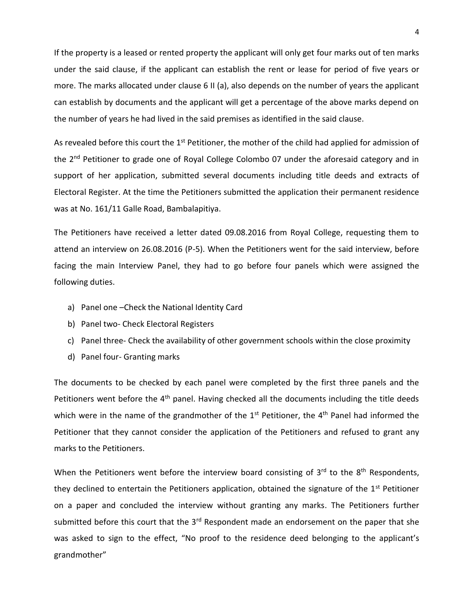If the property is a leased or rented property the applicant will only get four marks out of ten marks under the said clause, if the applicant can establish the rent or lease for period of five years or more. The marks allocated under clause 6 II (a), also depends on the number of years the applicant can establish by documents and the applicant will get a percentage of the above marks depend on the number of years he had lived in the said premises as identified in the said clause.

As revealed before this court the  $1<sup>st</sup>$  Petitioner, the mother of the child had applied for admission of the 2<sup>nd</sup> Petitioner to grade one of Royal College Colombo 07 under the aforesaid category and in support of her application, submitted several documents including title deeds and extracts of Electoral Register. At the time the Petitioners submitted the application their permanent residence was at No. 161/11 Galle Road, Bambalapitiya.

The Petitioners have received a letter dated 09.08.2016 from Royal College, requesting them to attend an interview on 26.08.2016 (P-5). When the Petitioners went for the said interview, before facing the main Interview Panel, they had to go before four panels which were assigned the following duties.

- a) Panel one –Check the National Identity Card
- b) Panel two- Check Electoral Registers
- c) Panel three- Check the availability of other government schools within the close proximity
- d) Panel four- Granting marks

The documents to be checked by each panel were completed by the first three panels and the Petitioners went before the  $4<sup>th</sup>$  panel. Having checked all the documents including the title deeds which were in the name of the grandmother of the  $1<sup>st</sup>$  Petitioner, the  $4<sup>th</sup>$  Panel had informed the Petitioner that they cannot consider the application of the Petitioners and refused to grant any marks to the Petitioners.

When the Petitioners went before the interview board consisting of  $3<sup>rd</sup>$  to the  $8<sup>th</sup>$  Respondents, they declined to entertain the Petitioners application, obtained the signature of the  $1<sup>st</sup>$  Petitioner on a paper and concluded the interview without granting any marks. The Petitioners further submitted before this court that the  $3<sup>rd</sup>$  Respondent made an endorsement on the paper that she was asked to sign to the effect, "No proof to the residence deed belonging to the applicant's grandmother"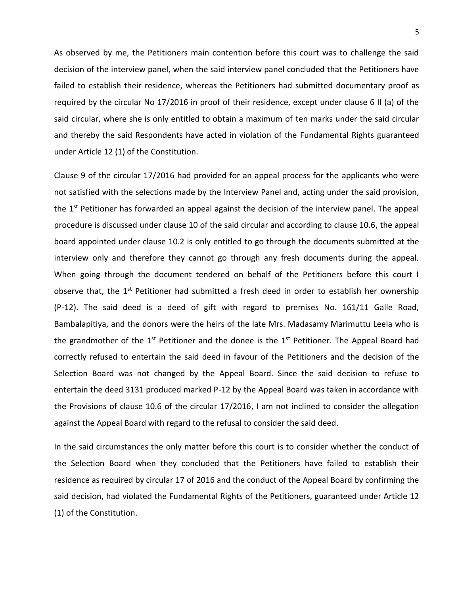As observed by me, the Petitioners main contention before this court was to challenge the said decision of the interview panel, when the said interview panel concluded that the Petitioners have failed to establish their residence, whereas the Petitioners had submitted documentary proof as required by the circular No 17/2016 in proof of their residence, except under clause 6 II (a) of the said circular, where she is only entitled to obtain a maximum of ten marks under the said circular and thereby the said Respondents have acted in violation of the Fundamental Rights guaranteed under Article 12 (1) of the Constitution.

Clause 9 of the circular 17/2016 had provided for an appeal process for the applicants who were not satisfied with the selections made by the Interview Panel and, acting under the said provision, the 1<sup>st</sup> Petitioner has forwarded an appeal against the decision of the interview panel. The appeal procedure is discussed under clause 10 of the said circular and according to clause 10.6, the appeal board appointed under clause 10.2 is only entitled to go through the documents submitted at the interview only and therefore they cannot go through any fresh documents during the appeal. When going through the document tendered on behalf of the Petitioners before this court I observe that, the 1<sup>st</sup> Petitioner had submitted a fresh deed in order to establish her ownership (P-12). The said deed is a deed of gift with regard to premises No. 161/11 Galle Road, Bambalapitiya, and the donors were the heirs of the late Mrs. Madasamy Marimuttu Leela who is the grandmother of the  $1^{st}$  Petitioner and the donee is the  $1^{st}$  Petitioner. The Appeal Board had correctly refused to entertain the said deed in favour of the Petitioners and the decision of the Selection Board was not changed by the Appeal Board. Since the said decision to refuse to entertain the deed 3131 produced marked P-12 by the Appeal Board was taken in accordance with the Provisions of clause 10.6 of the circular 17/2016, I am not inclined to consider the allegation against the Appeal Board with regard to the refusal to consider the said deed.

In the said circumstances the only matter before this court is to consider whether the conduct of the Selection Board when they concluded that the Petitioners have failed to establish their residence as required by circular 17 of 2016 and the conduct of the Appeal Board by confirming the said decision, had violated the Fundamental Rights of the Petitioners, guaranteed under Article 12 (1) of the Constitution.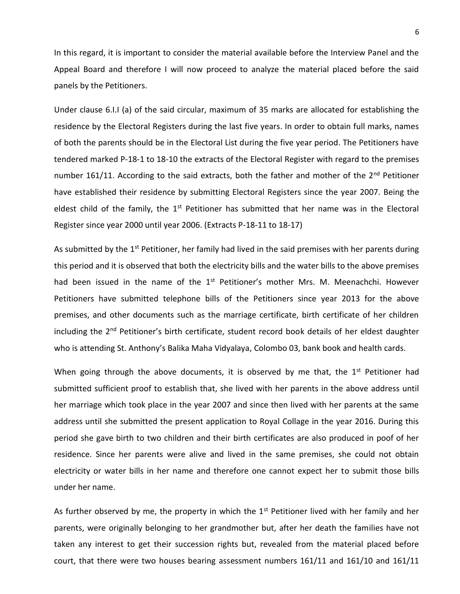In this regard, it is important to consider the material available before the Interview Panel and the Appeal Board and therefore I will now proceed to analyze the material placed before the said panels by the Petitioners.

Under clause 6.I.I (a) of the said circular, maximum of 35 marks are allocated for establishing the residence by the Electoral Registers during the last five years. In order to obtain full marks, names of both the parents should be in the Electoral List during the five year period. The Petitioners have tendered marked P-18-1 to 18-10 the extracts of the Electoral Register with regard to the premises number 161/11. According to the said extracts, both the father and mother of the 2<sup>nd</sup> Petitioner have established their residence by submitting Electoral Registers since the year 2007. Being the eldest child of the family, the 1<sup>st</sup> Petitioner has submitted that her name was in the Electoral Register since year 2000 until year 2006. (Extracts P-18-11 to 18-17)

As submitted by the  $1<sup>st</sup>$  Petitioner, her family had lived in the said premises with her parents during this period and it is observed that both the electricity bills and the water bills to the above premises had been issued in the name of the 1<sup>st</sup> Petitioner's mother Mrs. M. Meenachchi. However Petitioners have submitted telephone bills of the Petitioners since year 2013 for the above premises, and other documents such as the marriage certificate, birth certificate of her children including the  $2^{nd}$  Petitioner's birth certificate, student record book details of her eldest daughter who is attending St. Anthony's Balika Maha Vidyalaya, Colombo 03, bank book and health cards.

When going through the above documents, it is observed by me that, the  $1<sup>st</sup>$  Petitioner had submitted sufficient proof to establish that, she lived with her parents in the above address until her marriage which took place in the year 2007 and since then lived with her parents at the same address until she submitted the present application to Royal Collage in the year 2016. During this period she gave birth to two children and their birth certificates are also produced in poof of her residence. Since her parents were alive and lived in the same premises, she could not obtain electricity or water bills in her name and therefore one cannot expect her to submit those bills under her name.

As further observed by me, the property in which the  $1<sup>st</sup>$  Petitioner lived with her family and her parents, were originally belonging to her grandmother but, after her death the families have not taken any interest to get their succession rights but, revealed from the material placed before court, that there were two houses bearing assessment numbers 161/11 and 161/10 and 161/11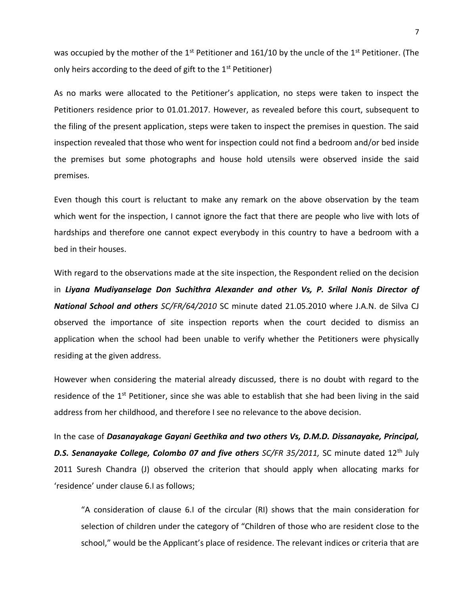was occupied by the mother of the 1<sup>st</sup> Petitioner and 161/10 by the uncle of the 1<sup>st</sup> Petitioner. (The only heirs according to the deed of gift to the  $1<sup>st</sup>$  Petitioner)

As no marks were allocated to the Petitioner's application, no steps were taken to inspect the Petitioners residence prior to 01.01.2017. However, as revealed before this court, subsequent to the filing of the present application, steps were taken to inspect the premises in question. The said inspection revealed that those who went for inspection could not find a bedroom and/or bed inside the premises but some photographs and house hold utensils were observed inside the said premises.

Even though this court is reluctant to make any remark on the above observation by the team which went for the inspection, I cannot ignore the fact that there are people who live with lots of hardships and therefore one cannot expect everybody in this country to have a bedroom with a bed in their houses.

With regard to the observations made at the site inspection, the Respondent relied on the decision in *Liyana Mudiyanselage Don Suchithra Alexander and other Vs, P. Srilal Nonis Director of National School and others SC/FR/64/2010* SC minute dated 21.05.2010 where J.A.N. de Silva CJ observed the importance of site inspection reports when the court decided to dismiss an application when the school had been unable to verify whether the Petitioners were physically residing at the given address.

However when considering the material already discussed, there is no doubt with regard to the residence of the 1<sup>st</sup> Petitioner, since she was able to establish that she had been living in the said address from her childhood, and therefore I see no relevance to the above decision.

In the case of *Dasanayakage Gayani Geethika and two others Vs, D.M.D. Dissanayake, Principal,*  **D.S. Senanayake College, Colombo 07 and five others** *SC/FR 35/2011*, SC minute dated 12<sup>th</sup> July 2011 Suresh Chandra (J) observed the criterion that should apply when allocating marks for 'residence' under clause 6.I as follows;

"A consideration of clause 6.I of the circular (RI) shows that the main consideration for selection of children under the category of "Children of those who are resident close to the school," would be the Applicant's place of residence. The relevant indices or criteria that are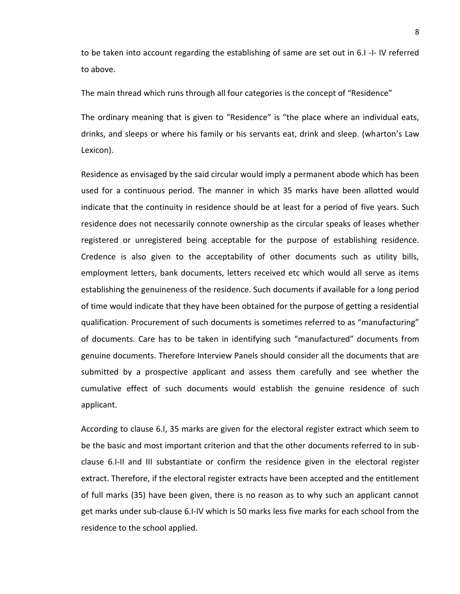to be taken into account regarding the establishing of same are set out in 6.I -I- IV referred to above.

The main thread which runs through all four categories is the concept of "Residence"

The ordinary meaning that is given to "Residence" is "the place where an individual eats, drinks, and sleeps or where his family or his servants eat, drink and sleep. (wharton's Law Lexicon).

Residence as envisaged by the said circular would imply a permanent abode which has been used for a continuous period. The manner in which 35 marks have been allotted would indicate that the continuity in residence should be at least for a period of five years. Such residence does not necessarily connote ownership as the circular speaks of leases whether registered or unregistered being acceptable for the purpose of establishing residence. Credence is also given to the acceptability of other documents such as utility bills, employment letters, bank documents, letters received etc which would all serve as items establishing the genuineness of the residence. Such documents if available for a long period of time would indicate that they have been obtained for the purpose of getting a residential qualification. Procurement of such documents is sometimes referred to as "manufacturing" of documents. Care has to be taken in identifying such "manufactured" documents from genuine documents. Therefore Interview Panels should consider all the documents that are submitted by a prospective applicant and assess them carefully and see whether the cumulative effect of such documents would establish the genuine residence of such applicant.

According to clause 6.I, 35 marks are given for the electoral register extract which seem to be the basic and most important criterion and that the other documents referred to in subclause 6.I-II and III substantiate or confirm the residence given in the electoral register extract. Therefore, if the electoral register extracts have been accepted and the entitlement of full marks (35) have been given, there is no reason as to why such an applicant cannot get marks under sub-clause 6.I-IV which is 50 marks less five marks for each school from the residence to the school applied.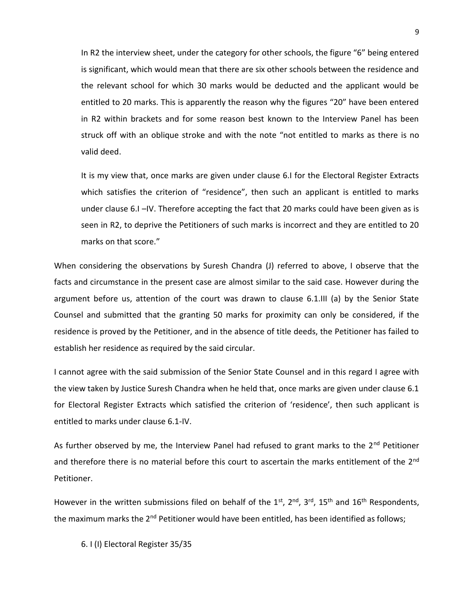In R2 the interview sheet, under the category for other schools, the figure "6" being entered is significant, which would mean that there are six other schools between the residence and the relevant school for which 30 marks would be deducted and the applicant would be entitled to 20 marks. This is apparently the reason why the figures "20" have been entered in R2 within brackets and for some reason best known to the Interview Panel has been struck off with an oblique stroke and with the note "not entitled to marks as there is no valid deed.

It is my view that, once marks are given under clause 6.I for the Electoral Register Extracts which satisfies the criterion of "residence", then such an applicant is entitled to marks under clause 6.I –IV. Therefore accepting the fact that 20 marks could have been given as is seen in R2, to deprive the Petitioners of such marks is incorrect and they are entitled to 20 marks on that score."

When considering the observations by Suresh Chandra (J) referred to above, I observe that the facts and circumstance in the present case are almost similar to the said case. However during the argument before us, attention of the court was drawn to clause 6.1.III (a) by the Senior State Counsel and submitted that the granting 50 marks for proximity can only be considered, if the residence is proved by the Petitioner, and in the absence of title deeds, the Petitioner has failed to establish her residence as required by the said circular.

I cannot agree with the said submission of the Senior State Counsel and in this regard I agree with the view taken by Justice Suresh Chandra when he held that, once marks are given under clause 6.1 for Electoral Register Extracts which satisfied the criterion of 'residence', then such applicant is entitled to marks under clause 6.1-IV.

As further observed by me, the Interview Panel had refused to grant marks to the 2<sup>nd</sup> Petitioner and therefore there is no material before this court to ascertain the marks entitlement of the 2<sup>nd</sup> Petitioner.

However in the written submissions filed on behalf of the  $1^{st}$ ,  $2^{nd}$ ,  $3^{rd}$ ,  $15^{th}$  and  $16^{th}$  Respondents, the maximum marks the 2<sup>nd</sup> Petitioner would have been entitled, has been identified as follows;

6. I (I) Electoral Register 35/35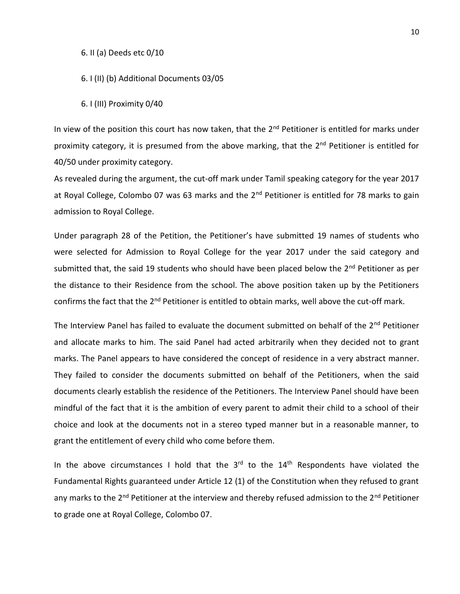6. II (a) Deeds etc 0/10

6. I (II) (b) Additional Documents 03/05

6. I (III) Proximity 0/40

In view of the position this court has now taken, that the 2<sup>nd</sup> Petitioner is entitled for marks under proximity category, it is presumed from the above marking, that the 2<sup>nd</sup> Petitioner is entitled for 40/50 under proximity category.

As revealed during the argument, the cut-off mark under Tamil speaking category for the year 2017 at Royal College, Colombo 07 was 63 marks and the 2<sup>nd</sup> Petitioner is entitled for 78 marks to gain admission to Royal College.

Under paragraph 28 of the Petition, the Petitioner's have submitted 19 names of students who were selected for Admission to Royal College for the year 2017 under the said category and submitted that, the said 19 students who should have been placed below the 2<sup>nd</sup> Petitioner as per the distance to their Residence from the school. The above position taken up by the Petitioners confirms the fact that the 2<sup>nd</sup> Petitioner is entitled to obtain marks, well above the cut-off mark.

The Interview Panel has failed to evaluate the document submitted on behalf of the 2<sup>nd</sup> Petitioner and allocate marks to him. The said Panel had acted arbitrarily when they decided not to grant marks. The Panel appears to have considered the concept of residence in a very abstract manner. They failed to consider the documents submitted on behalf of the Petitioners, when the said documents clearly establish the residence of the Petitioners. The Interview Panel should have been mindful of the fact that it is the ambition of every parent to admit their child to a school of their choice and look at the documents not in a stereo typed manner but in a reasonable manner, to grant the entitlement of every child who come before them.

In the above circumstances I hold that the  $3<sup>rd</sup>$  to the  $14<sup>th</sup>$  Respondents have violated the Fundamental Rights guaranteed under Article 12 (1) of the Constitution when they refused to grant any marks to the 2<sup>nd</sup> Petitioner at the interview and thereby refused admission to the 2<sup>nd</sup> Petitioner to grade one at Royal College, Colombo 07.